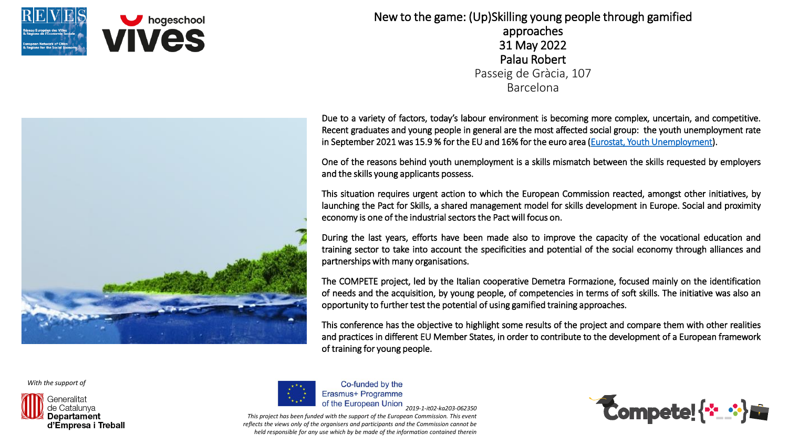

New to the game: (Up)Skilling young people through gamified approaches 31 May 2022 Palau Robert Passeig de Gràcia, 107 Barcelona



One of the reasons behind youth unemployment is a skills mismatch between the skills requested by employers and the skills young applicants possess.

This situation requires urgent action to which the European Commission reacted, amongst other initiatives, by launching the Pact for Skills, a shared management model for skills development in Europe. Social and proximity economy is one of the industrial sectors the Pact will focus on.

During the last years, efforts have been made also to improve the capacity of the vocational education and training sector to take into account the specificities and potential of the social economy through alliances and partnerships with many organisations.

The COMPETE project, led by the Italian cooperative Demetra Formazione, focused mainly on the identification of needs and the acquisition, by young people, of competencies in terms of soft skills. The initiative was also an opportunity to further test the potential of using gamified training approaches.

This conference has the objective to highlight some results of the project and compare them with other realities and practices in different EU Member States, in order to contribute to the development of a European framework of training for young people.

*With the support of*





Co-funded by the Erasmus+ Programme *2019-1-it02-ka203-062350*

*This project has been funded with the support of the European Commission. This event reflects the views only of the organisers and participants and the Commission cannot be held responsible for any use which by be made of the information contained therein*



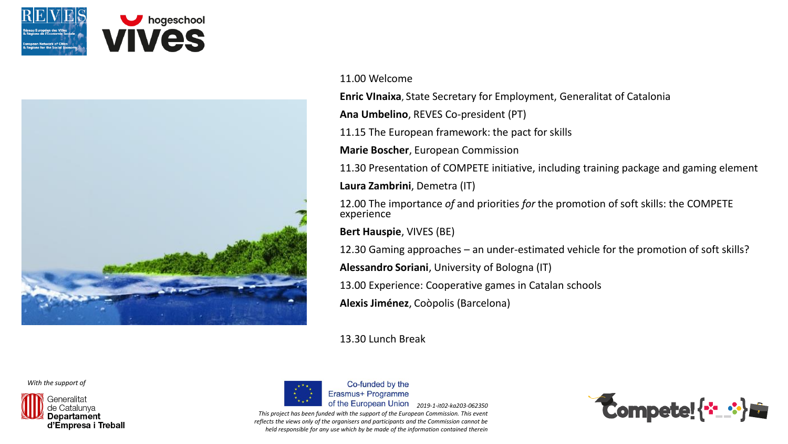



## 11.00 Welcome

**Enric VInaixa**, State Secretary for Employment, Generalitat of Catalonia

**Ana Umbelino**, REVES Co-president (PT)

11.15 The European framework: the pact for skills

**Marie Boscher**, European Commission

11.30 Presentation of COMPETE initiative, including training package and gaming element **Laura Zambrini**, Demetra (IT)

12.00 The importance *of* and priorities *for* the promotion of soft skills: the COMPETE experience

**Bert Hauspie**, VIVES (BE)

12.30 Gaming approaches – an under-estimated vehicle for the promotion of soft skills?

**Alessandro Soriani**, University of Bologna (IT)

13.00 Experience: Cooperative games in Catalan schools

**Alexis Jiménez**, Coòpolis (Barcelona)

13.30 Lunch Break

*With the support of*





Co-funded by the Erasmus+ Programme *2019-1-it02-ka203-062350*

*This project has been funded with the support of the European Commission. This event reflects the views only of the organisers and participants and the Commission cannot be held responsible for any use which by be made of the information contained therein*